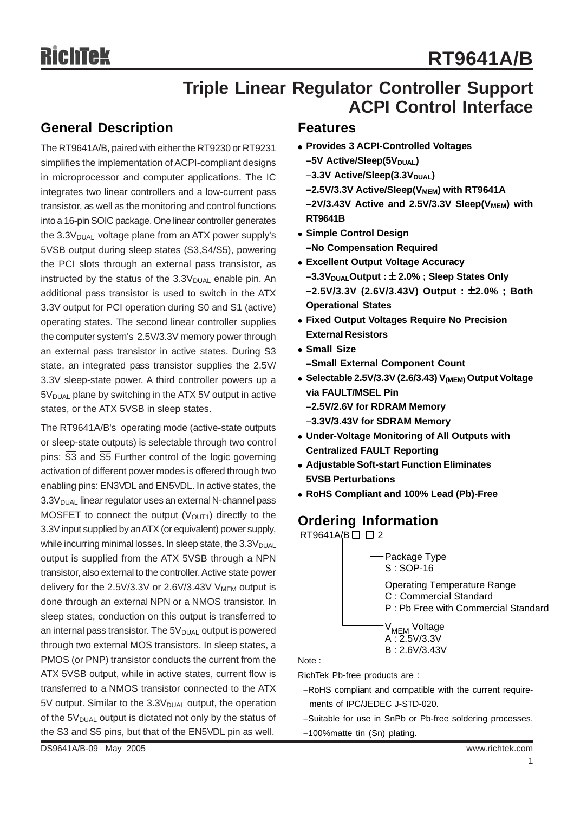### **Triple Linear Regulator Controller Support ACPI Control Interface**

### **General Description**

The RT9641A/B, paired with either the RT9230 or RT9231 simplifies the implementation of ACPI-compliant designs in microprocessor and computer applications. The IC integrates two linear controllers and a low-current pass transistor, as well as the monitoring and control functions into a 16-pin SOIC package. One linear controller generates the  $3.3V_{\text{DUAL}}$  voltage plane from an ATX power supply's 5VSB output during sleep states (S3,S4/S5), powering the PCI slots through an external pass transistor, as instructed by the status of the  $3.3V_{\text{DUAL}}$  enable pin. An additional pass transistor is used to switch in the ATX 3.3V output for PCI operation during S0 and S1 (active) operating states. The second linear controller supplies the computer system's 2.5V/3.3V memory power through an external pass transistor in active states. During S3 state, an integrated pass transistor supplies the 2.5V/ 3.3V sleep-state power. A third controller powers up a  $5V<sub>DUAL</sub>$  plane by switching in the ATX 5V output in active states, or the ATX 5VSB in sleep states.

The RT9641A/B's operating mode (active-state outputs or sleep-state outputs) is selectable through two control pins:  $\overline{S3}$  and  $\overline{S5}$  Further control of the logic governing activation of different power modes is offered through two enabling pins: EN3VDL and EN5VDL. In active states, the  $3.3V<sub>DUAL</sub>$  linear regulator uses an external N-channel pass MOSFET to connect the output  $(V<sub>OUT1</sub>)$  directly to the 3.3V input supplied by an ATX (or equivalent) power supply, while incurring minimal losses. In sleep state, the  $3.3V_{\text{DUAL}}$ output is supplied from the ATX 5VSB through a NPN transistor, also external to the controller. Active state power delivery for the  $2.5V/3.3V$  or  $2.6V/3.43V$  V<sub>MFM</sub> output is done through an external NPN or a NMOS transistor. In sleep states, conduction on this output is transferred to an internal pass transistor. The  $5V<sub>DUAL</sub>$  output is powered through two external MOS transistors. In sleep states, a PMOS (or PNP) transistor conducts the current from the ATX 5VSB output, while in active states, current flow is transferred to a NMOS transistor connected to the ATX 5V output. Similar to the  $3.3V<sub>DUAL</sub>$  output, the operation of the  $5V<sub>DUAL</sub>$  output is dictated not only by the status of the  $\overline{S3}$  and  $\overline{S5}$  pins, but that of the EN5VDL pin as well.

### **Features**

- <sup>z</sup> **Provides 3 ACPI-Controlled Voltages** −5V Active/Sleep(5V<sub>DUAL</sub>)
	- −3.3V Active/Sleep(3.3V<sub>DUAL</sub>)
	- −2.5V/3.3V Active/Sleep(V<sub>MEM</sub>) with RT9641A −2V/3.43V Active and 2.5V/3.3V Sleep(V<sub>MEM</sub>) with **RT9641B**
- $\bullet$  **Simple Control Design** −**No Compensation Required**
- $\bullet$  **Excellent Output Voltage Accuracy** −**3.3VDUALOutput :** ± **2.0% ; Sleep States Only** −**2.5V/3.3V (2.6V/3.43V) Output :** ±**2.0% ; Both Operational States**
- <sup>z</sup> **Fixed Output Voltages Require No Precision External Resistors**
- $\bullet$  **Small Size** −**Small External Component Count**
- <sup>z</sup> **Selectable 2.5V/3.3V (2.6/3.43) V(MEM) Output Voltage via FAULT/MSEL Pin** −**2.5V/2.6V for RDRAM Memory**
	- −**3.3V/3.43V for SDRAM Memory**
- **. Under-Voltage Monitoring of All Outputs with Centralized FAULT Reporting**
- <sup>z</sup> **Adjustable Soft-start Function Eliminates 5VSB Perturbations**
- <sup>z</sup> **RoHS Compliant and 100% Lead (Pb)-Free**

### **Ordering Information**



### Note :

RichTek Pb-free products are :

- −RoHS compliant and compatible with the current require ments of IPC/JEDEC J-STD-020.
- −Suitable for use in SnPb or Pb-free soldering processes.
- −100%matte tin (Sn) plating.

DS9641A/B-09 May 2005 www.richtek.com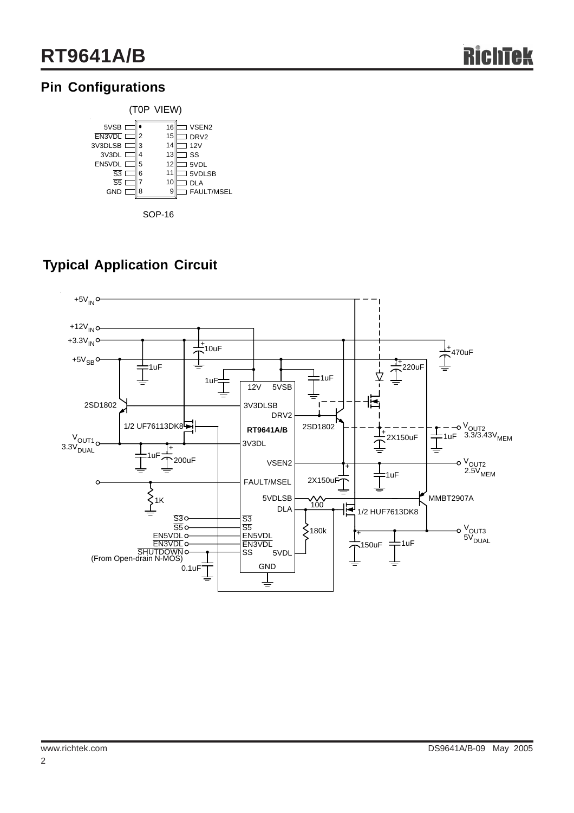## **Pin Configurations**



## **Typical Application Circuit**

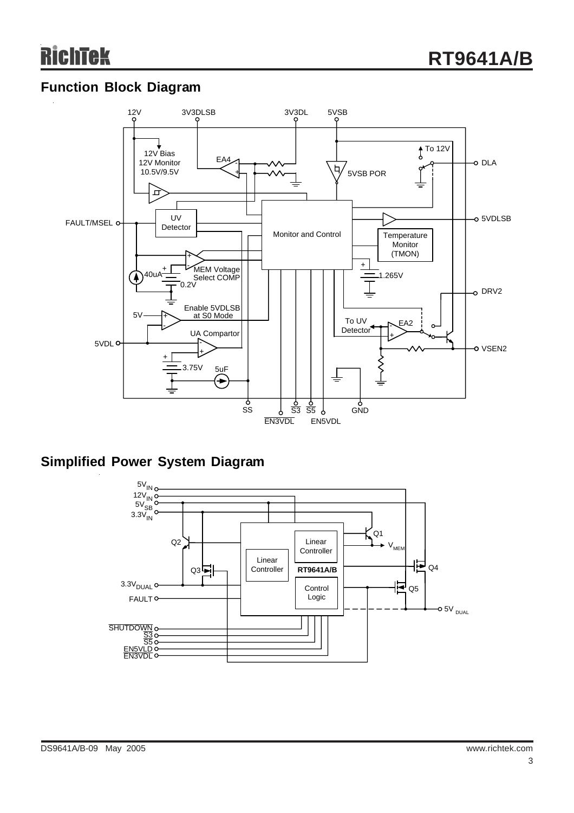### **Function Block Diagram**



### **Simplified Power System Diagram**

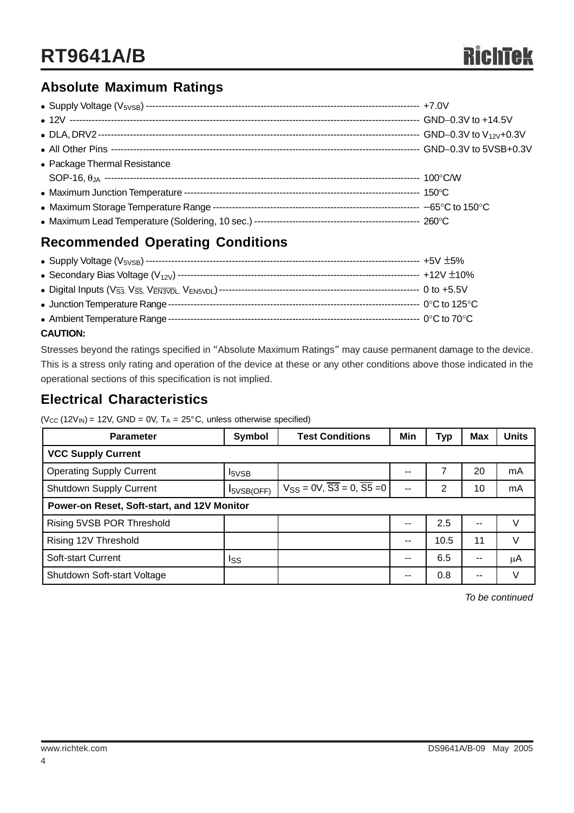### **Absolute Maximum Ratings**

| • Package Thermal Resistance |  |
|------------------------------|--|
|                              |  |
|                              |  |
|                              |  |
|                              |  |

### **Recommended Operating Conditions**

| • Ambient Temperature Range - |  |
|-------------------------------|--|
| <b>CAUTION:</b>               |  |

#### Stresses beyond the ratings specified in "Absolute Maximum Ratings" may cause permanent damage to the device. This is a stress only rating and operation of the device at these or any other conditions above those indicated in the operational sections of this specification is not implied.

### **Electrical Characteristics**

(V<sub>CC</sub> (12V<sub>IN</sub>) = 12V, GND = 0V, T<sub>A</sub> = 25°C, unless otherwise specified)

| <b>Parameter</b>                            | <b>Symbol</b>             | <b>Test Conditions</b>                                    | Min | Тур  | <b>Max</b> | <b>Units</b> |  |  |
|---------------------------------------------|---------------------------|-----------------------------------------------------------|-----|------|------------|--------------|--|--|
| <b>VCC Supply Current</b>                   |                           |                                                           |     |      |            |              |  |  |
| <b>Operating Supply Current</b>             | <b>I</b> <sub>5</sub> VSB |                                                           | --  |      | 20         | mA           |  |  |
| Shutdown Supply Current                     | I <sub>5</sub> VSB(OFF)   | $V_{SS} = 0V$ , $\overline{S3} = 0$ , $\overline{S5} = 0$ | --  | 2    | 10         | mA           |  |  |
| Power-on Reset, Soft-start, and 12V Monitor |                           |                                                           |     |      |            |              |  |  |
| Rising 5VSB POR Threshold                   |                           |                                                           | $-$ | 2.5  | --         |              |  |  |
| Rising 12V Threshold                        |                           |                                                           | --  | 10.5 | 11         |              |  |  |
| Soft-start Current                          | Iss                       |                                                           | $-$ | 6.5  | --         | μA           |  |  |
| Shutdown Soft-start Voltage                 |                           |                                                           | $-$ | 0.8  | --         | V            |  |  |

*To be continued*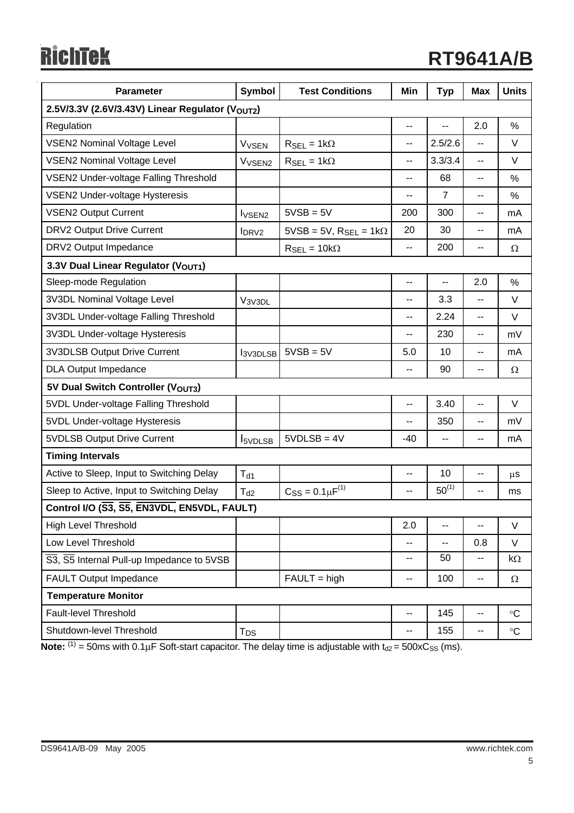# **RichTek**

| <b>Parameter</b>                                | Symbol                                    | <b>Test Conditions</b>                                         | Min                      | <b>Typ</b>     | <b>Max</b>               | <b>Units</b>      |  |  |
|-------------------------------------------------|-------------------------------------------|----------------------------------------------------------------|--------------------------|----------------|--------------------------|-------------------|--|--|
| 2.5V/3.3V (2.6V/3.43V) Linear Regulator (VOUT2) |                                           |                                                                |                          |                |                          |                   |  |  |
| Regulation                                      |                                           |                                                                | н.                       | --             | 2.0                      | %                 |  |  |
| <b>VSEN2 Nominal Voltage Level</b>              | <b>V<sub>VSEN</sub></b>                   | $R_{SEL} = 1k\Omega$                                           | --                       | 2.5/2.6        | --                       | V                 |  |  |
| <b>VSEN2 Nominal Voltage Level</b>              | V <sub>VSEN2</sub>                        | $R_{SEL} = 1k\Omega$                                           | ۰.                       | 3.3/3.4        | --                       | V                 |  |  |
| VSEN2 Under-voltage Falling Threshold           |                                           |                                                                | ۰.                       | 68             | --                       | ℅                 |  |  |
| VSEN2 Under-voltage Hysteresis                  |                                           |                                                                | ۰.                       | $\overline{7}$ | --                       | %                 |  |  |
| <b>VSEN2 Output Current</b>                     | <b>I</b> VSEN <sub>2</sub>                | $5VSB = 5V$                                                    | 200                      | 300            | --                       | mA                |  |  |
| DRV2 Output Drive Current                       | <b>IDRV2</b>                              | $5\text{VSB} = 5\text{V}$ , $R_{\text{SEL}} = 1\text{k}\Omega$ | 20                       | 30             | --                       | mA                |  |  |
| DRV2 Output Impedance                           |                                           | $R_{SEL} = 10k\Omega$                                          | $\overline{\phantom{a}}$ | 200            | --                       | $\Omega$          |  |  |
| 3.3V Dual Linear Regulator (VOUT1)              |                                           |                                                                |                          |                |                          |                   |  |  |
| Sleep-mode Regulation                           |                                           |                                                                | --                       | --             | 2.0                      | ℅                 |  |  |
| 3V3DL Nominal Voltage Level                     | V <sub>3V3DL</sub>                        |                                                                | ۰.                       | 3.3            | --                       | V                 |  |  |
| 3V3DL Under-voltage Falling Threshold           |                                           |                                                                | ۰.                       | 2.24           | --                       | V                 |  |  |
| 3V3DL Under-voltage Hysteresis                  |                                           |                                                                | ۰.                       | 230            | --                       | mV                |  |  |
| 3V3DLSB Output Drive Current                    | <b>I</b> <sub>3</sub> V <sub>3</sub> DLSB | $5VSB = 5V$                                                    | 5.0                      | 10             | --                       | mA                |  |  |
| <b>DLA Output Impedance</b>                     |                                           |                                                                | ۰.                       | 90             | --                       | Ω                 |  |  |
| 5V Dual Switch Controller (VOUT3)               |                                           |                                                                |                          |                |                          |                   |  |  |
| 5VDL Under-voltage Falling Threshold            |                                           |                                                                | --                       | 3.40           | --                       | V                 |  |  |
| 5VDL Under-voltage Hysteresis                   |                                           |                                                                | ۰.                       | 350            | --                       | mV                |  |  |
| 5VDLSB Output Drive Current                     | <b>I</b> <sub>5VDLSB</sub>                | $5VDLSB = 4V$                                                  | -40                      | --             | --                       | mA                |  |  |
| <b>Timing Intervals</b>                         |                                           |                                                                |                          |                |                          |                   |  |  |
| Active to Sleep, Input to Switching Delay       | $T_{d1}$                                  |                                                                | --                       | 10             | --                       | $\mu$ s           |  |  |
| Sleep to Active, Input to Switching Delay       | $T_{d2}$                                  | $C_{SS} = 0.1 \mu F^{(1)}$                                     | --                       | $50^{(1)}$     | --                       | ms                |  |  |
| Control I/O (S3, S5, EN3VDL, EN5VDL, FAULT)     |                                           |                                                                |                          |                |                          |                   |  |  |
| <b>High Level Threshold</b>                     |                                           |                                                                | 2.0                      | ۰.             | $\overline{a}$           | V                 |  |  |
| Low Level Threshold                             |                                           |                                                                | --                       | ۰.             | 0.8                      | V                 |  |  |
| S3, S5 Internal Pull-up Impedance to 5VSB       |                                           |                                                                | --                       | 50             |                          | $k\Omega$         |  |  |
| <b>FAULT Output Impedance</b>                   |                                           | $FAULT = high$                                                 | --                       | 100            | ۰.                       | $\Omega$          |  |  |
| <b>Temperature Monitor</b>                      |                                           |                                                                |                          |                |                          |                   |  |  |
| Fault-level Threshold                           |                                           |                                                                | --                       | 145            | --                       | $\circ$ C         |  |  |
| Shutdown-level Threshold                        | T <sub>DS</sub>                           |                                                                | $\overline{\phantom{m}}$ | 155            | $\overline{\phantom{m}}$ | $^\circ \text{C}$ |  |  |

**Note:**  $^{(1)}$  = 50ms with 0.1µF Soft-start capacitor. The delay time is adjustable with  $t_{d2}$  = 500xC<sub>SS</sub> (ms).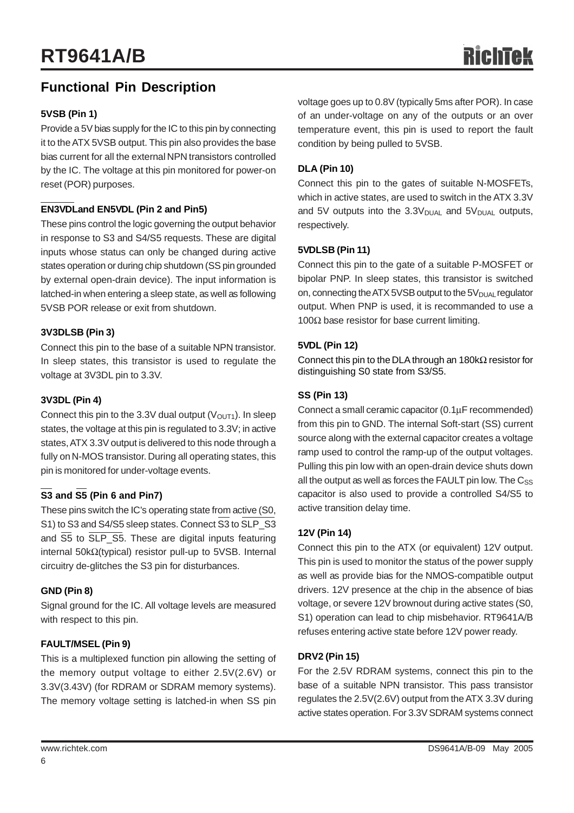### **Functional Pin Description**

#### **5VSB (Pin 1)**

Provide a 5V bias supply for the IC to this pin by connecting it to the ATX 5VSB output. This pin also provides the base bias current for all the external NPN transistors controlled by the IC. The voltage at this pin monitored for power-on reset (POR) purposes.

#### **EN3VDLand EN5VDL (Pin 2 and Pin5)**

These pins control the logic governing the output behavior in response to S3 and S4/S5 requests. These are digital inputs whose status can only be changed during active states operation or during chip shutdown (SS pin grounded by external open-drain device). The input information is latched-in when entering a sleep state, as well as following 5VSB POR release or exit from shutdown.

#### **3V3DLSB (Pin 3)**

Connect this pin to the base of a suitable NPN transistor. In sleep states, this transistor is used to regulate the voltage at 3V3DL pin to 3.3V.

#### **3V3DL (Pin 4)**

Connect this pin to the 3.3V dual output ( $V<sub>OUT1</sub>$ ). In sleep states, the voltage at this pin is regulated to 3.3V; in active states, ATX 3.3V output is delivered to this node through a fully on N-MOS transistor. During all operating states, this pin is monitored for under-voltage events.

#### **S3 and S5 (Pin 6 and Pin7)**

These pins switch the IC's operating state from active (S0, S1) to S3 and S4/S5 sleep states. Connect S3 to SLP\_S3 and  $\overline{S5}$  to  $\overline{SLP\_S5}$ . These are digital inputs featuring internal 50kΩ(typical) resistor pull-up to 5VSB. Internal circuitry de-glitches the S3 pin for disturbances.

#### **GND (Pin 8)**

Signal ground for the IC. All voltage levels are measured with respect to this pin.

#### **FAULT/MSEL (Pin 9)**

This is a multiplexed function pin allowing the setting of the memory output voltage to either 2.5V(2.6V) or 3.3V(3.43V) (for RDRAM or SDRAM memory systems). The memory voltage setting is latched-in when SS pin voltage goes up to 0.8V (typically 5ms after POR). In case of an under-voltage on any of the outputs or an over temperature event, this pin is used to report the fault condition by being pulled to 5VSB.

#### **DLA (Pin 10)**

Connect this pin to the gates of suitable N-MOSFETs, which in active states, are used to switch in the ATX 3.3V and 5V outputs into the  $3.3V_{\text{DUAL}}$  and  $5V_{\text{DUAL}}$  outputs, respectively.

#### **5VDLSB (Pin 11)**

Connect this pin to the gate of a suitable P-MOSFET or bipolar PNP. In sleep states, this transistor is switched on, connecting the ATX 5VSB output to the  $5V<sub>DUA</sub>$  regulator output. When PNP is used, it is recommanded to use a 100 $Ω$  base resistor for base current limiting.

#### **5VDL (Pin 12)**

Connect this pin to the DLA through an 180 $k\Omega$  resistor for distinguishing S0 state from S3/S5.

#### **SS (Pin 13)**

Connect a small ceramic capacitor (0.1μF recommended) from this pin to GND. The internal Soft-start (SS) current source along with the external capacitor creates a voltage ramp used to control the ramp-up of the output voltages. Pulling this pin low with an open-drain device shuts down all the output as well as forces the FAULT pin low. The  $C_{SS}$ capacitor is also used to provide a controlled S4/S5 to active transition delay time.

#### **12V (Pin 14)**

Connect this pin to the ATX (or equivalent) 12V output. This pin is used to monitor the status of the power supply as well as provide bias for the NMOS-compatible output drivers. 12V presence at the chip in the absence of bias voltage, or severe 12V brownout during active states (S0, S1) operation can lead to chip misbehavior. RT9641A/B refuses entering active state before 12V power ready.

#### **DRV2 (Pin 15)**

For the 2.5V RDRAM systems, connect this pin to the base of a suitable NPN transistor. This pass transistor regulates the 2.5V(2.6V) output from the ATX 3.3V during active states operation. For 3.3V SDRAM systems connect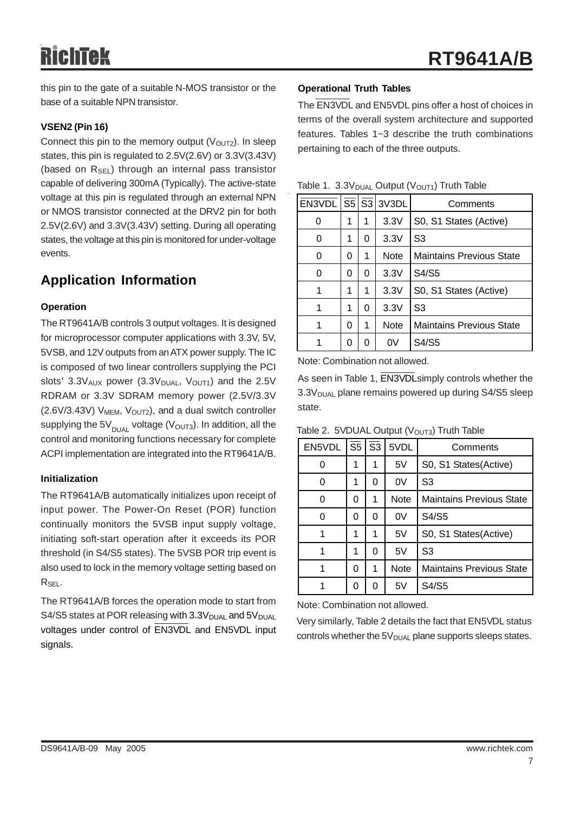this pin to the gate of a suitable N-MOS transistor or the base of a suitable NPN transistor.

#### **VSEN2 (Pin 16)**

Connect this pin to the memory output  $(V<sub>OUT2</sub>)$ . In sleep states, this pin is regulated to 2.5V(2.6V) or 3.3V(3.43V) (based on  $R_{SEL}$ ) through an internal pass transistor capable of delivering 300mA (Typically). The active-state voltage at this pin is regulated through an external NPN or NMOS transistor connected at the DRV2 pin for both 2.5V(2.6V) and 3.3V(3.43V) setting. During all operating states, the voltage at this pin is monitored for under-voltage events.

### **Application Information**

#### **Operation**

The RT9641A/B controls 3 output voltages. It is designed for microprocessor computer applications with 3.3V, 5V, 5VSB, and 12V outputs from an ATX power supply. The IC is composed of two linear controllers supplying the PCI slots'  $3.3V_{AUX}$  power  $(3.3V_{DUAL}, V_{OUT1})$  and the 2.5V RDRAM or 3.3V SDRAM memory power (2.5V/3.3V  $(2.6V/3.43V)$  V<sub>MEM</sub>, V<sub>OUT2</sub>), and a dual switch controller supplying the 5V<sub>DUAL</sub> voltage (V<sub>OUT3</sub>). In addition, all the control and monitoring functions necessary for complete ACPI implementation are integrated into the RT9641A/B.

#### **Initialization**

The RT9641A/B automatically initializes upon receipt of input power. The Power-On Reset (POR) function continually monitors the 5VSB input supply voltage, initiating soft-start operation after it exceeds its POR threshold (in S4/S5 states). The 5VSB POR trip event is also used to lock in the memory voltage setting based on R<sub>SEL</sub>.

The RT9641A/B forces the operation mode to start from S4/S5 states at POR releasing with  $3.3V_{DUAL}$  and  $5V_{DUAL}$ voltages under control of EN3VDL and EN5VDL input signals.

#### **Operational Truth Tables**

The EN3VDL and EN5VDL pins offer a host of choices in terms of the overall system architecture and supported features. Tables 1~3 describe the truth combinations pertaining to each of the three outputs.

| EN3VDL |   |   | $\overline{S5}$ $\overline{S3}$ 3V3DL | Comments                        |
|--------|---|---|---------------------------------------|---------------------------------|
| 0      | 1 | 1 | 3.3V                                  | S0, S1 States (Active)          |
| 0      | 1 | 0 | 3.3V                                  | S <sub>3</sub>                  |
| 0      | 0 | 1 | <b>Note</b>                           | <b>Maintains Previous State</b> |
| ი      | 0 | 0 | 3.3V                                  | S4/S5                           |
|        | 1 | 1 | 3.3V                                  | S0, S1 States (Active)          |
|        | 1 | 0 | 3.3V                                  | S <sub>3</sub>                  |
|        | 0 | 1 | Note                                  | <b>Maintains Previous State</b> |
|        | 0 | n | 0V                                    | S4/S5                           |

#### Table 1. 3.3V<sub>DUAL</sub> Output (V<sub>OUT1</sub>) Truth Table

Note: Combination not allowed.

As seen in Table 1, **EN3VDL** simply controls whether the 3.3V<sub>DUAL</sub> plane remains powered up during S4/S5 sleep state.

Table 2. 5VDUAL Output ( $V<sub>OUT3</sub>$ ) Truth Table

| EN5VDL |   | $\overline{S5}$ $\overline{S3}$ | 5VDL        | Comments                        |
|--------|---|---------------------------------|-------------|---------------------------------|
| O      | 1 | 1                               | 5V          | S0, S1 States(Active)           |
| O      | 1 | 0                               | 0V          | S <sub>3</sub>                  |
|        | 0 | 1                               | <b>Note</b> | <b>Maintains Previous State</b> |
|        | 0 | 0                               | 0V          | S4/S5                           |
|        | 1 | 1                               | 5V          | S0, S1 States(Active)           |
|        | 1 | 0                               | 5V          | S3                              |
|        | 0 | 1                               | <b>Note</b> | <b>Maintains Previous State</b> |
|        | ი | 0                               | 5V          | S4/S5                           |

Note: Combination not allowed.

Very similarly, Table 2 details the fact that EN5VDL status controls whether the  $5V_{DUAL}$  plane supports sleeps states.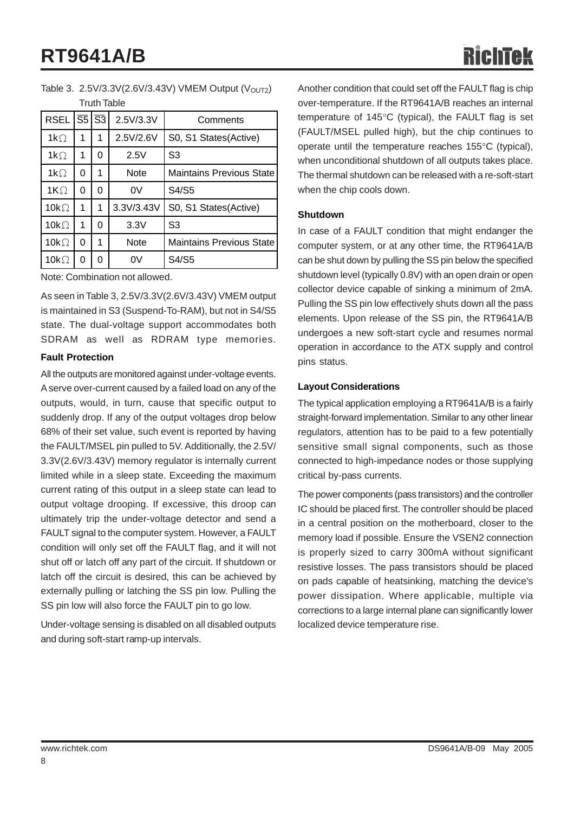Table 3.  $2.5V/3.3V(2.6V/3.43V)$  VMEM Output ( $V_{OUT2}$ ) Truth Table

| <b>RSEL   S5   S3  </b> |   |   | 2.5V/3.3V   | Comments                        |  |  |
|-------------------------|---|---|-------------|---------------------------------|--|--|
| 1k $\Omega$             | 1 | 1 | 2.5V/2.6V   | S0, S1 States(Active)           |  |  |
| 1k $\Omega$             | 1 | O | 2.5V        | S3                              |  |  |
| $1k\Omega$              | 0 | 1 | <b>Note</b> | <b>Maintains Previous State</b> |  |  |
| $1K\Omega$              | 0 | O | 0V          | S4/S5                           |  |  |
| 10 $k\Omega$            | 1 | 1 | 3.3V/3.43V  | S0, S1 States(Active)           |  |  |
| 10 $k\Omega$            | 1 | O | 3.3V        | S3                              |  |  |
| 10k $\Omega$            | 0 | 1 | Note        | Maintains Previous State        |  |  |
| 10 $k\Omega$            | O | O | 0V          | S4/S5                           |  |  |

Note: Combination not allowed.

As seen in Table 3, 2.5V/3.3V(2.6V/3.43V) VMEM output is maintained in S3 (Suspend-To-RAM), but not in S4/S5 state. The dual-voltage support accommodates both SDRAM as well as RDRAM type memories.

#### **Fault Protection**

All the outputs are monitored against under-voltage events. A serve over-current caused by a failed load on any of the outputs, would, in turn, cause that specific output to suddenly drop. If any of the output voltages drop below 68% of their set value, such event is reported by having the FAULT/MSEL pin pulled to 5V. Additionally, the 2.5V/ 3.3V(2.6V/3.43V) memory regulator is internally current limited while in a sleep state. Exceeding the maximum current rating of this output in a sleep state can lead to output voltage drooping. If excessive, this droop can ultimately trip the under-voltage detector and send a FAULT signal to the computer system. However, a FAULT condition will only set off the FAULT flag, and it will not shut off or latch off any part of the circuit. If shutdown or latch off the circuit is desired, this can be achieved by externally pulling or latching the SS pin low. Pulling the SS pin low will also force the FAULT pin to go low.

Under-voltage sensing is disabled on all disabled outputs and during soft-start ramp-up intervals.

Another condition that could set off the FAULT flag is chip over-temperature. If the RT9641A/B reaches an internal temperature of 145°C (typical), the FAULT flag is set (FAULT/MSEL pulled high), but the chip continues to operate until the temperature reaches 155°C (typical), when unconditional shutdown of all outputs takes place. The thermal shutdown can be released with a re-soft-start when the chip cools down.

#### **Shutdown**

In case of a FAULT condition that might endanger the computer system, or at any other time, the RT9641A/B can be shut down by pulling the SS pin below the specified shutdown level (typically 0.8V) with an open drain or open collector device capable of sinking a minimum of 2mA. Pulling the SS pin low effectively shuts down all the pass elements. Upon release of the SS pin, the RT9641A/B undergoes a new soft-start cycle and resumes normal operation in accordance to the ATX supply and control pins status.

#### **Layout Considerations**

The typical application employing a RT9641A/B is a fairly straight-forward implementation. Similar to any other linear regulators, attention has to be paid to a few potentially sensitive small signal components, such as those connected to high-impedance nodes or those supplying critical by-pass currents.

The power components (pass transistors) and the controller IC should be placed first. The controller should be placed in a central position on the motherboard, closer to the memory load if possible. Ensure the VSEN2 connection is properly sized to carry 300mA without significant resistive losses. The pass transistors should be placed on pads capable of heatsinking, matching the device's power dissipation. Where applicable, multiple via corrections to a large internal plane can significantly lower localized device temperature rise.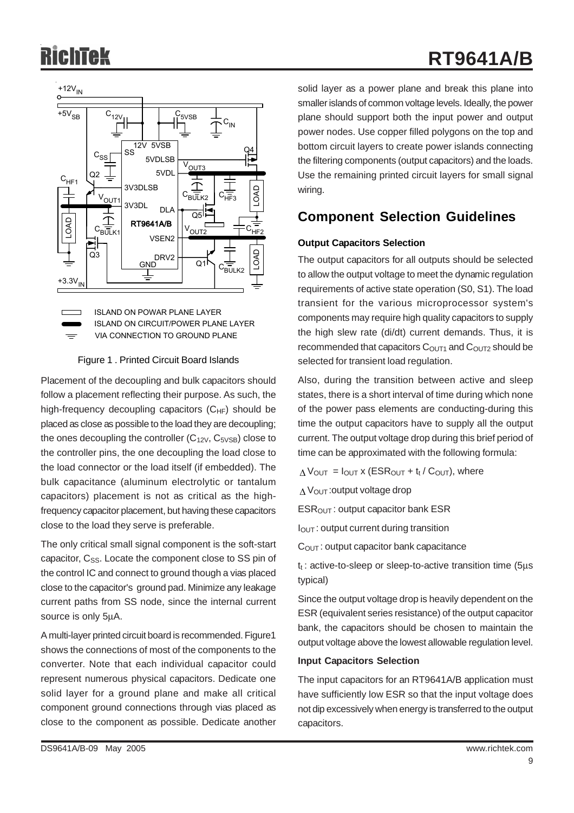

ISLAND ON POWAR PLANE LAYER ┑ ISLAND ON CIRCUIT/POWER PLANE LAYER VIA CONNECTION TO GROUND PLANE



Placement of the decoupling and bulk capacitors should follow a placement reflecting their purpose. As such, the high-frequency decoupling capacitors  $(C_{HF})$  should be placed as close as possible to the load they are decoupling; the ones decoupling the controller  $(C_{12V}, C_{5VSB})$  close to the controller pins, the one decoupling the load close to the load connector or the load itself (if embedded). The bulk capacitance (aluminum electrolytic or tantalum capacitors) placement is not as critical as the highfrequency capacitor placement, but having these capacitors close to the load they serve is preferable.

The only critical small signal component is the soft-start capacitor, C<sub>SS</sub>. Locate the component close to SS pin of the control IC and connect to ground though a vias placed close to the capacitor's ground pad. Minimize any leakage current paths from SS node, since the internal current source is only 5μA.

A multi-layer printed circuit board is recommended. Figure1 shows the connections of most of the components to the converter. Note that each individual capacitor could represent numerous physical capacitors. Dedicate one solid layer for a ground plane and make all critical component ground connections through vias placed as close to the component as possible. Dedicate another solid layer as a power plane and break this plane into smaller islands of common voltage levels. Ideally, the power plane should support both the input power and output power nodes. Use copper filled polygons on the top and bottom circuit layers to create power islands connecting the filtering components (output capacitors) and the loads. Use the remaining printed circuit layers for small signal wiring.

### **Component Selection Guidelines**

#### **Output Capacitors Selection**

The output capacitors for all outputs should be selected to allow the output voltage to meet the dynamic regulation requirements of active state operation (S0, S1). The load transient for the various microprocessor system's components may require high quality capacitors to supply the high slew rate (di/dt) current demands. Thus, it is recommended that capacitors  $C<sub>OUT1</sub>$  and  $C<sub>OUT2</sub>$  should be selected for transient load regulation.

Also, during the transition between active and sleep states, there is a short interval of time during which none of the power pass elements are conducting-during this time the output capacitors have to supply all the output current. The output voltage drop during this brief period of time can be approximated with the following formula:

 $\Lambda$  V<sub>OUT</sub> =  $I_{\text{OUT}}$  x (ESR<sub>OUT</sub> +  $t_t$  / C<sub>OUT</sub>), where

 $\Delta$  V<sub>OUT</sub> : output voltage drop

 $ESR<sub>OUT</sub>$ : output capacitor bank ESR

IOUT : output current during transition

 $C<sub>OUT</sub>$ : output capacitor bank capacitance

 $t_t$ : active-to-sleep or sleep-to-active transition time (5 $\mu$ s typical)

Since the output voltage drop is heavily dependent on the ESR (equivalent series resistance) of the output capacitor bank, the capacitors should be chosen to maintain the output voltage above the lowest allowable regulation level.

#### **Input Capacitors Selection**

The input capacitors for an RT9641A/B application must have sufficiently low ESR so that the input voltage does not dip excessively when energy is transferred to the output capacitors.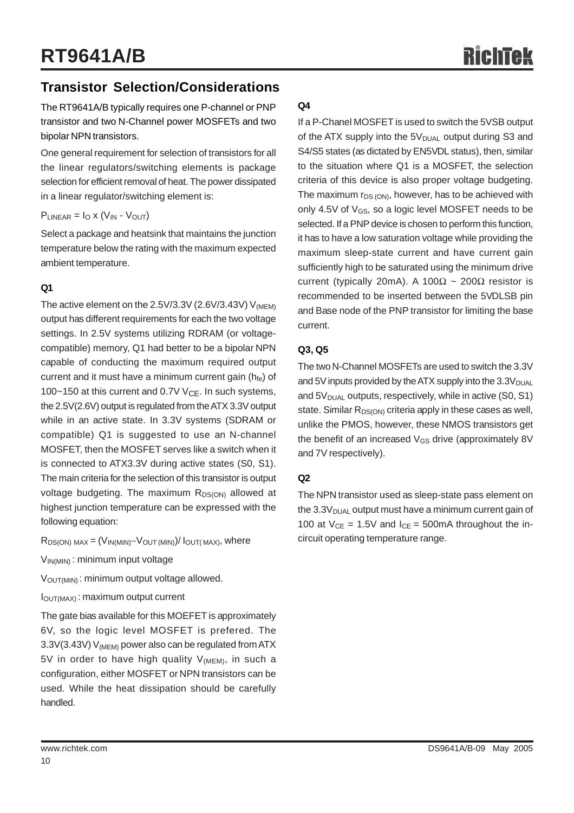## **Transistor Selection/Considerations**

The RT9641A/B typically requires one P-channel or PNP transistor and two N-Channel power MOSFETs and two bipolar NPN transistors.

One general requirement for selection of transistors for all the linear regulators/switching elements is package selection for efficient removal of heat. The power dissipated in a linear regulator/switching element is:

```
P_{LINEAR} = I<sub>O</sub> \times (V<sub>IN</sub> - V<sub>OUT</sub>)
```
Select a package and heatsink that maintains the junction temperature below the rating with the maximum expected ambient temperature.

### **Q1**

The active element on the  $2.5V/3.3V$  ( $2.6V/3.43V$ )  $V_{(MEM)}$ output has different requirements for each the two voltage settings. In 2.5V systems utilizing RDRAM (or voltagecompatible) memory, Q1 had better to be a bipolar NPN capable of conducting the maximum required output current and it must have a minimum current gain ( $h_{fe}$ ) of 100~150 at this current and 0.7V  $V_{CE}$ . In such systems, the 2.5V(2.6V) output is regulated from the ATX 3.3V output while in an active state. In 3.3V systems (SDRAM or compatible) Q1 is suggested to use an N-channel MOSFET, then the MOSFET serves like a switch when it is connected to ATX3.3V during active states (S0, S1). The main criteria for the selection of this transistor is output voltage budgeting. The maximum  $R_{DS(ON)}$  allowed at highest junction temperature can be expressed with the following equation:

 $R_{DS(ON) MAX} = (V_{IN(MIN)} - V_{OUT(MIN)}) / I_{OUT(MAX)}$ , where

VIN(MIN) : minimum input voltage

 $V<sub>OUT(MIN)</sub>$ : minimum output voltage allowed.

IOUT(MAX) : maximum output current

The gate bias available for this MOEFET is approximately 6V, so the logic level MOSFET is prefered. The 3.3V(3.43V) V<sub>(MEM)</sub> power also can be regulated from ATX 5V in order to have high quality  $V_{(MEM)}$ , in such a configuration, either MOSFET or NPN transistors can be used. While the heat dissipation should be carefully handled.

### **Q4**

If a P-Chanel MOSFET is used to switch the 5VSB output of the ATX supply into the  $5V_{DUAL}$  output during S3 and S4/S5 states (as dictated by EN5VDL status), then, similar to the situation where Q1 is a MOSFET, the selection criteria of this device is also proper voltage budgeting. The maximum  $r_{DS (ON)}$ , however, has to be achieved with only 4.5V of V<sub>GS</sub>, so a logic level MOSFET needs to be selected. If a PNP device is chosen to perform this function, it has to have a low saturation voltage while providing the maximum sleep-state current and have current gain sufficiently high to be saturated using the minimum drive current (typically 20mA). A 100Ω ~ 200Ω resistor is recommended to be inserted between the 5VDLSB pin and Base node of the PNP transistor for limiting the base current.

### **Q3, Q5**

The two N-Channel MOSFETs are used to switch the 3.3V and 5V inputs provided by the ATX supply into the  $3.3V_{\text{DUAL}}$ and  $5V_{\text{DUAL}}$  outputs, respectively, while in active (S0, S1) state. Similar  $R_{DS(ON)}$  criteria apply in these cases as well, unlike the PMOS, however, these NMOS transistors get the benefit of an increased  $V_{GS}$  drive (approximately 8V and 7V respectively).

### **Q2**

The NPN transistor used as sleep-state pass element on the  $3.3V<sub>DUAL</sub>$  output must have a minimum current gain of 100 at  $V_{CE} = 1.5V$  and  $I_{CE} = 500$  mA throughout the incircuit operating temperature range.